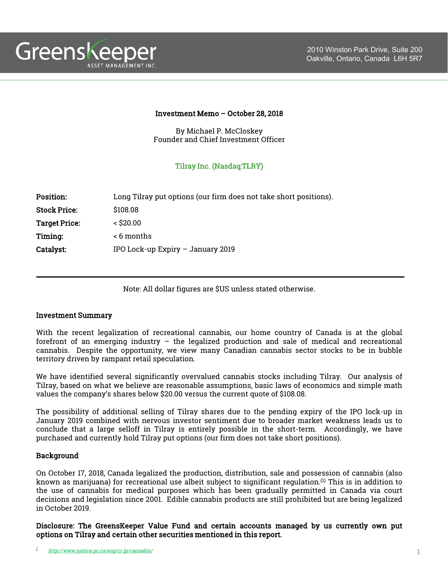

## Investment Memo – October 28, 2018

By Michael P. McCloskey Founder and Chief Investment Officer

# Tilray Inc. (Nasdaq:TLRY)

| <b>Position:</b>     | Long Tilray put options (our firm does not take short positions). |
|----------------------|-------------------------------------------------------------------|
| <b>Stock Price:</b>  | \$108.08                                                          |
| <b>Target Price:</b> | $<$ \$20.00                                                       |
| Timing:              | < 6 months                                                        |
| <b>Catalyst:</b>     | IPO Lock-up Expiry $-$ January 2019                               |

Note: All dollar figures are \$US unless stated otherwise.

## Investment Summary

With the recent legalization of recreational cannabis, our home country of Canada is at the global forefront of an emerging industry – the legalized production and sale of medical and recreational cannabis. Despite the opportunity, we view many Canadian cannabis sector stocks to be in bubble territory driven by rampant retail speculation.

We have identified several significantly overvalued cannabis stocks including Tilray. Our analysis of Tilray, based on what we believe are reasonable assumptions, basic laws of economics and simple math values the company's shares below \$20.00 versus the current quote of \$108.08.

The possibility of additional selling of Tilray shares due to the pending expiry of the IPO lock-up in January 2019 combined with nervous investor sentiment due to broader market weakness leads us to conclude that a large selloff in Tilray is entirely possible in the short-term. Accordingly, we have purchased and currently hold Tilray put options (our firm does not take short positions).

## **Background**

On October 17, 2018, Canada legalized the production, distribution, sale and possession of cannabis (also known as marijuana) for recreational use albeit subject to significant regulation.<sup>(1)</sup> This is in addition to the use of cannabis for medical purposes which has been gradually permitted in Canada via court decisions and legislation since 2001. Edible cannabis products are still prohibited but are being legalized in October 2019.

Disclosure: The GreensKeeper Value Fund and certain accounts managed by us currently own put options on Tilray and certain other securities mentioned in this report.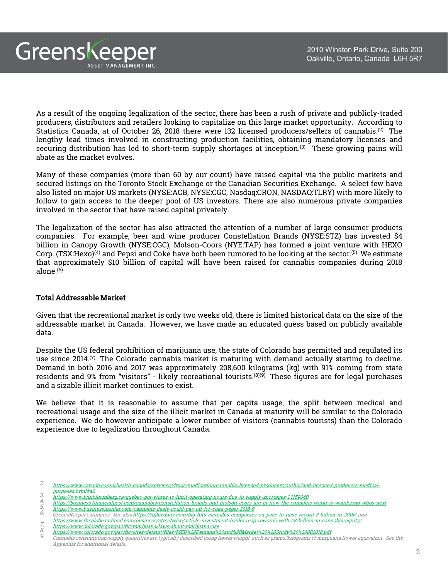As a result of the ongoing legalization of the sector, there has been a rush of private and publicly-traded producers, distributors and retailers looking to capitalize on this large market opportunity. According to Statistics Canada, at of October 26, 2018 there were 132 licensed producers/sellers of cannabis.<sup>(2)</sup> The lengthy lead times involved in constructing production facilities, obtaining mandatory licenses and securing distribution has led to short-term supply shortages at inception. These growing pains will abate as the market evolves.

Many of these companies (more than 60 by our count) have raised capital via the public markets and secured listings on the Toronto Stock Exchange or the Canadian Securities Exchange. A select few have also listed on major US markets (NYSE:ACB, NYSE:CGC, Nasdaq:CRON, NASDAQ:TLRY) with more likely to follow to gain access to the deeper pool of US investors. There are also numerous private companies involved in the sector that have raised capital privately.

The legalization of the sector has also attracted the attention of a number of large consumer products companies. For example, beer and wine producer Constellation Brands (NYSE:STZ) has invested \$4 billion in Canopy Growth (NYSE:CGC), Molson-Coors (NYE:TAP) has formed a joint venture with HEXO Corp. (TSX:Hexo)<sup>(4)</sup> and Pepsi and Coke have both been rumored to be looking at the sector.<sup>(5)</sup> We estimate that approximately \$10 billion of capital will have been raised for cannabis companies during 2018 alone. (6)

# Total Addressable Market

Greenskeeper

ASSET MANAGEMENT INC

Given that the recreational market is only two weeks old, there is limited historical data on the size of the addressable market in Canada. However, we have made an educated guess based on publicly available data.

Despite the US federal prohibition of marijuana use, the state of Colorado has permitted and regulated its use since 2014. $^{(7)}$  The Colorado cannabis market is maturing with demand actually starting to decline. Demand in both 2016 and 2017 was approximately 208,600 kilograms (kg) with 91% coming from state residents and 9% from "visitors" - likely recreational tourists.®© These figures are for legal purchases and a sizable illicit market continues to exist.

We believe that it is reasonable to assume that per capita usage, the split between medical and recreational usage and the size of the illicit market in Canada at maturity will be similar to the Colorado experience. We do however anticipate a lower number of visitors (cannabis tourists) than the Colorado experience due to legalization throughout Canada.

- 2. [https://www.canada.ca/en/health-canada/services/drugs-medication/cannabis/licensed-producers/authorized-licensed-producers-medical](https://www.canada.ca/en/health-canada/services/drugs-medication/cannabis/licensed-producers/authorized-licensed-producers-medical-purposes.html#a2)purposes.html#a2
- 
- 3.<br> <https://www.bnnbloomberg.ca/quebec-pot-stores-to-limit-operating-hours-due-to-supply-shortages-1.1159040><br>
https://business.financialpost.com/cannabis/constellation-brands-and-molson-coors-are-in-now-the-cannabis-world-
- GreensKeeper estimates. See als[o https://mjbizdaily.com/big-hits-cannabis-companies-on-pace-to-raise-record-8-billion-in-2018/](https://mjbizdaily.com/big-hits-cannabis-companies-on-pace-to-raise-record-8-billion-in-2018/) and
- <https://www.theglobeandmail.com/business/streetwise/article-investment-banks-reap-rewards-with-28-billion-in-cannabis-equity/>
- 

9. Cannabis consumption/supply quantities are typically described using flower weight, such as grams/kilograms of marijuana flower equivalent. See the Appendix for additional details.

<sup>7.</sup> https://www.uegropeandmail.com/pusiness/sueetwise/affucie-investment-panks-reap-fewards-whil-28-pmon-in-cam<br>8. <https://www.colorado.gov/pacific/sites/default/files/MED%20Demand%20and%20Market%20%20Study%20%20082018.pdf><br>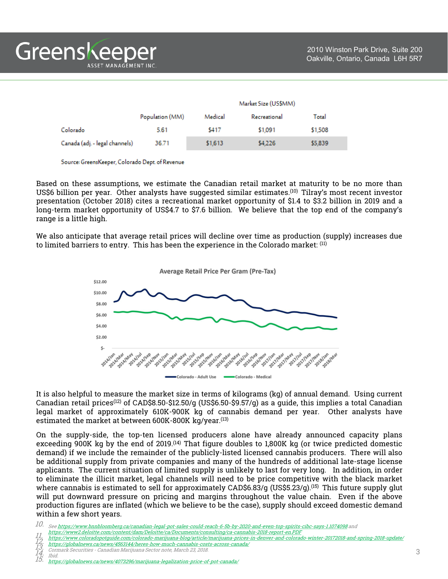|                                |                 | Market Size (US\$MM) |              |         |
|--------------------------------|-----------------|----------------------|--------------|---------|
|                                | Population (MM) | Medical              | Recreational | Total   |
| Colorado                       | 5.61            | \$417                | \$1,091      | \$1,508 |
| Canada (adj. - legal channels) | 36.71           | \$1,613              | \$4,226      | \$5,839 |

Source: GreensKeeper, Colorado Dept. of Revenue

Based on these assumptions, we estimate the Canadian retail market at maturity to be no more than US\$6 billion per year. Other analysts have suggested similar estimates.<sup>(10)</sup> Tilray's most recent investor presentation (October 2018) cites a recreational market opportunity of \$1.4 to \$3.2 billion in 2019 and a long-term market opportunity of US\$4.7 to \$7.6 billion. We believe that the top end of the company's range is a little high.

We also anticipate that average retail prices will decline over time as production (supply) increases due to limited barriers to entry. This has been the experience in the Colorado market: <sup>(11)</sup>



It is also helpful to measure the market size in terms of kilograms (kg) of annual demand. Using current Canadian retail prices<sup>(12)</sup> of CAD\$8.50-\$12.50/g (US\$6.50-\$9.57/g) as a quide, this implies a total Canadian legal market of approximately 610K-900K kg of cannabis demand per year. Other analysts have estimated the market at between 600K-800K kg/year. (13)

On the supply-side, the top-ten licensed producers alone have already announced capacity plans exceeding 900K kg by the end of 2019. $^{(14)}$  That figure doubles to 1,800K kg (or twice predicted domestic demand) if we include the remainder of the publicly-listed licensed cannabis producers. There will also be additional supply from private companies and many of the hundreds of additional late-stage license applicants. The current situation of limited supply is unlikely to last for very long. In addition, in order to eliminate the illicit market, legal channels will need to be price competitive with the black market where cannabis is estimated to sell for approximately CAD\$6.83/g (US\$5.23/g).<sup>(15)</sup> This future supply glut will put downward pressure on pricing and margins throughout the value chain. Even if the above production figures are inflated (which we believe to be the case), supply should exceed domestic demand within a few short years.

- 11. <https://www.coloradopotguide.com/colorado-marijuana-blog/article/marijuana-prices-in-denver-and-colorado-winter-20172018-and-spring-2018-update/><br>12. https://globalnews.ca/news/4563144/heres-how-much-cannabis-costs-acro
- 13. Cormark Securities Canadian Marijuana Sector note, March 23, 2018. 14. Ibid.
- 

<sup>10.</sup> See <https://www.bnnbloomberg.ca/canadian-legal-pot-sales-could-reach-6-5b-by-2020-and-even-top-spirits-cibc-says-1.1074098> and

<https://www2.deloitte.com/content/dam/Deloitte/ca/Documents/consulting/ca-cannabis-2018-report-en.PDF>

Ibid.<br><https://globalnews.ca/news/4073296/marijuana-legalization-price-of-pot-canada/>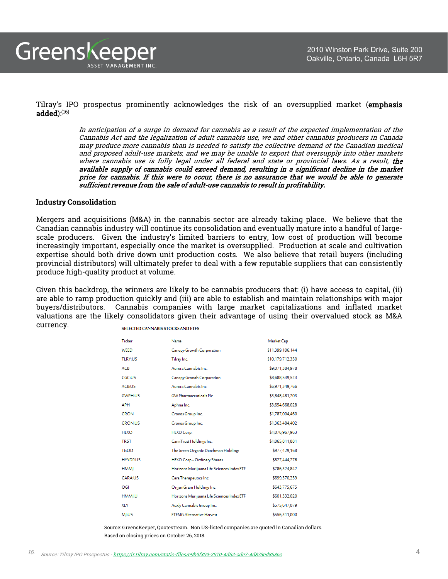Tilray's IPO prospectus prominently acknowledges the risk of an oversupplied market (emphasis added): $^{(16)}$ 

> In anticipation of <sup>a</sup> surge in demand for cannabis as <sup>a</sup> result of the expected implementation of the Cannabis Act and the legalization of adult cannabis use, we and other cannabis producers in Canada may produce more cannabis than is needed to satisfy the collective demand of the Canadian medical and proposed adult-use markets, and we may be unable to export that oversupply into other markets where cannabis use is fully legal under all federal and state or provincial laws. As a result, the available supply of cannabis could exceed demand, resulting in <sup>a</sup> significant decline in the market price for cannabis. If this were to occur, there is no assurance that we would be able to generate sufficient revenue from the sale of adult-use cannabis to result in profitability.

### Industry Consolidation

Mergers and acquisitions (M&A) in the cannabis sector are already taking place. We believe that the Canadian cannabis industry will continue its consolidation and eventually mature into a handful of largescale producers. Given the industry's limited barriers to entry, low cost of production will become increasingly important, especially once the market is oversupplied. Production at scale and cultivation expertise should both drive down unit production costs. We also believe that retail buyers (including provincial distributors) will ultimately prefer to deal with a few reputable suppliers that can consistently produce high-quality product at volume.

Given this backdrop, the winners are likely to be cannabis producers that: (i) have access to capital, (ii) are able to ramp production quickly and (iii) are able to establish and maintain relationships with major buyers/distributors. Cannabis companies with large market capitalizations and inflated market valuations are the likely consolidators given their advantage of using their overvalued stock as M&A currency.

| Ticker            | Name                                       | Market Cap       |
|-------------------|--------------------------------------------|------------------|
| WEED              | Canopy Growth Corporation                  | \$11,399,106,144 |
| <b>TLRY:US</b>    | Tilray Inc.                                | \$10,179,712,350 |
| <b>ACB</b>        | Aurora Cannabis Inc.                       | \$9,071,384,978  |
| CGC:US            | Canopy Growth Corporation                  | \$8,688,539,523  |
| ACB <sub>US</sub> | Aurora Cannabis Inc.                       | \$6,971,349,766  |
| <b>GWPH:US</b>    | <b>GW Pharmaceuticals Plc</b>              | \$3,848,481,203  |
| <b>APH</b>        | Aphria Inc.                                | \$3,654,668,028  |
| <b>CRON</b>       | Cronos Group Inc.                          | \$1,787,004,460  |
| <b>CRON:US</b>    | Cronos Group Inc.                          | \$1,363,484,402  |
| <b>HEXO</b>       | HEXO Corp.                                 | \$1,076,967,963  |
| <b>TRST</b>       | CannTrust Holdings Inc.                    | \$1,065,811,881  |
| <b>TGOD</b>       | The Green Organic Dutchman Holdings        | \$977,429,168    |
| <b>HYYDEUS</b>    | HEXO Corp - Ordinary Shares                | \$827,444,276    |
| <b>HMMI</b>       | Horizons Marijuana Life Sciences Index ETF | \$786,324,842    |
| CARA:US           | Cara Therapeutics Inc.                     | \$699,370,259    |
| OGI               | OrganiGram Holdings Inc                    | \$643,775,675    |
| HMMI.U            | Horizons Marijuana Life Sciences Index ETF | \$601,332,020    |
| XLY               | Auxly Cannabis Group Inc.                  | \$575,647,079    |
| MI:US             | <b>ETFMG Alternative Harvest</b>           | \$556,311,000    |

SELECTED CANNABIS STOCKS AND ETFS

Source: GreensKeeper, Quotestream. Non US-listed companies are quoted in Canadian dollars. Based on closing prices on October 26, 2018.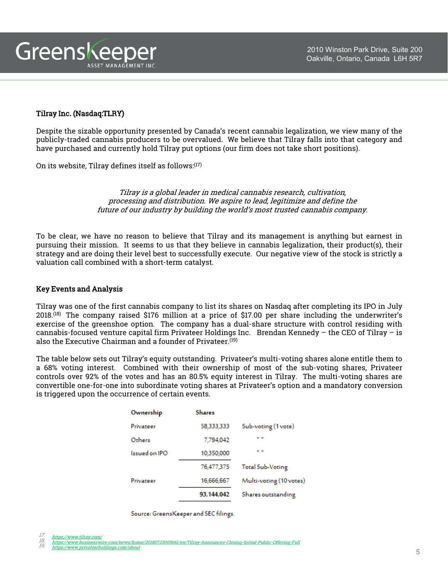

# Tilray Inc. (Nasdaq:TLRY)

Despite the sizable opportunity presented by Canada's recent cannabis legalization, we view many of the publicly-traded cannabis producers to be overvalued. We believe that Tilray falls into that category and have purchased and currently hold Tilray put options (our firm does not take short positions).

On its website, Tilray defines itself as follows: $^{\left( 17\right) }$ 

Tilray is a global leader in medical cannabis research, cultivation, processing and distribution. We aspire to lead, legitimize and define the future of our industry by building the world's most trusted cannabis company.

To be clear, we have no reason to believe that Tilray and its management is anything but earnest in pursuing their mission. It seems to us that they believe in cannabis legalization, their product(s), their strategy and are doing their level best to successfully execute. Our negative view of the stock is strictly a valuation call combined with a short-term catalyst.

## Key Events and Analysis

Tilray was one of the first cannabis company to list its shares on Nasdaq after completing its IPO in July 2018. (18) The company raised \$176 million at a price of \$17.00 per share including the underwriter's exercise of the greenshoe option. The company has a dual-share structure with control residing with cannabis-focused venture capital firm Privateer Holdings Inc. Brendan Kennedy – the CEO of Tilray – is also the Executive Chairman and a founder of Privateer. (19)

The table below sets out Tilray's equity outstanding. Privateer's multi-voting shares alone entitle them to a 68% voting interest. Combined with their ownership of most of the sub-voting shares, Privateer controls over 92% of the votes and has an 80.5% equity interest in Tilray. The multi-voting shares are convertible one-for-one into subordinate voting shares at Privateer's option and a mandatory conversion is triggered upon the occurrence of certain events.

| Ownership     | <b>Shares</b> |                         |
|---------------|---------------|-------------------------|
| Privateer     | 58,333,333    | Sub-voting (1 vote)     |
| Others        | 7,794,042     | $\alpha - \alpha$       |
| Issued on IPO | 10,350,000    | . .                     |
|               | 76,477,375    | <b>Total Sub-Voting</b> |
| Privateer     | 16,666,667    | Multi-voting (10 votes) |
|               | 93,144,042    | Shares outstanding      |

Source: GreensKeeper and SEC filings.

<sup>17.</sup> <https://www.tilray.com/><br>18. <https://www.businesswire.com/news/home/20180723005661/en/Tilray-Announces-Closing-Initial-Public-Offering-Full><br>19. <u><https://www.privateerholdings.com/about></u>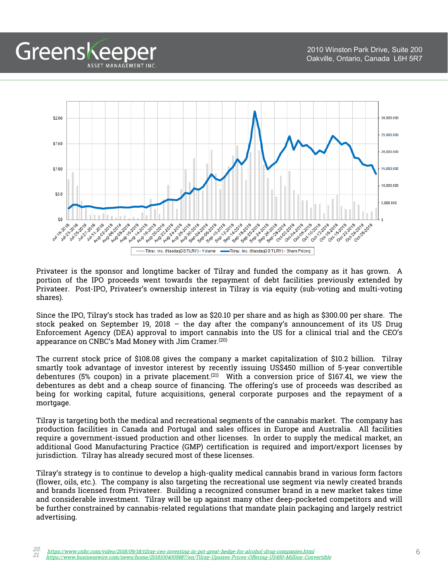

Greenskeeper

ASSET MANAGEMENT INC.

Privateer is the sponsor and longtime backer of Tilray and funded the company as it has grown. A portion of the IPO proceeds went towards the repayment of debt facilities previously extended by Privateer. Post-IPO, Privateer's ownership interest in Tilray is via equity (sub-voting and multi-voting shares).

Since the IPO, Tilray's stock has traded as low as \$20.10 per share and as high as \$300.00 per share. The stock peaked on September 19, 2018 – the day after the company's announcement of its US Drug Enforcement Agency (DEA) approval to import cannabis into the US for a clinical trial and the CEO's appearance on CNBC's Mad Money with Jim Cramer. (20)

The current stock price of \$108.08 gives the company a market capitalization of \$10.2 billion. Tilray smartly took advantage of investor interest by recently issuing US\$450 million of 5-year convertible debentures (5% coupon) in a private placement. $^{(21)}$  With a conversion price of \$167.41, we view the debentures as debt and a cheap source of financing. The offering's use of proceeds was described as being for working capital, future acquisitions, general corporate purposes and the repayment of a mortgage.

Tilray is targeting both the medical and recreational segments of the cannabis market. The company has production facilities in Canada and Portugal and sales offices in Europe and Australia. All facilities require a government-issued production and other licenses. In order to supply the medical market, an additional Good Manufacturing Practice (GMP) certification is required and import/export licenses by jurisdiction. Tilray has already secured most of these licenses.

Tilray's strategy is to continue to develop a high-quality medical cannabis brand in various form factors (flower, oils, etc.). The company is also targeting the recreational use segment via newly created brands and brands licensed from Privateer. Building a recognized consumer brand in a new market takes time and considerable investment. Tilray will be up against many other deep-pocketed competitors and will be further constrained by cannabis-related regulations that mandate plain packaging and largely restrict advertising.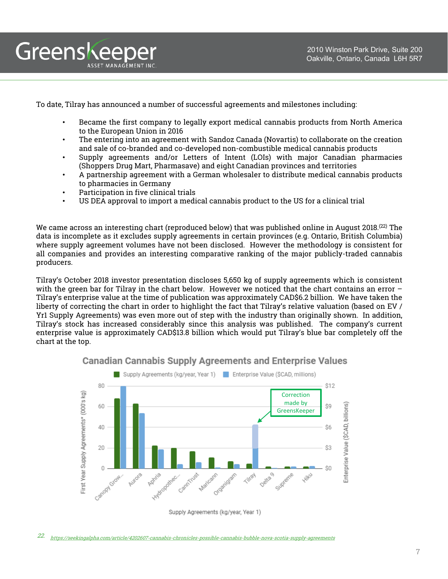

To date, Tilray has announced a number of successful agreements and milestones including:

- Became the first company to legally export medical cannabis products from North America to the European Union in 2016
- The entering into an agreement with Sandoz Canada (Novartis) to collaborate on the creation and sale of co-branded and co-developed non-combustible medical cannabis products
- Supply agreements and/or Letters of Intent (LOIs) with major Canadian pharmacies (Shoppers Drug Mart, Pharmasave) and eight Canadian provinces and territories
- A partnership agreement with a German wholesaler to distribute medical cannabis products to pharmacies in Germany
- Participation in five clinical trials
- US DEA approval to import a medical cannabis product to the US for a clinical trial

We came across an interesting chart (reproduced below) that was published online in August 2018. $^{(22)}$  The data is incomplete as it excludes supply agreements in certain provinces (e.g. Ontario, British Columbia) where supply agreement volumes have not been disclosed. However the methodology is consistent for all companies and provides an interesting comparative ranking of the major publicly-traded cannabis producers.

Tilray's October 2018 investor presentation discloses 5,650 kg of supply agreements which is consistent with the green bar for Tilray in the chart below. However we noticed that the chart contains an error -Tilray's enterprise value at the time of publication was approximately CAD\$6.2 billion. We have taken the liberty of correcting the chart in order to highlight the fact that Tilray's relative valuation (based on EV / Yr1 Supply Agreements) was even more out of step with the industry than originally shown. In addition, Tilray's stock has increased considerably since this analysis was published. The company's current enterprise value is approximately CAD\$13.8 billion which would put Tilray's blue bar completely off the chart at the top.



**Canadian Cannabis Supply Agreements and Enterprise Values** 

Supply Agreements (kg/year, Year 1)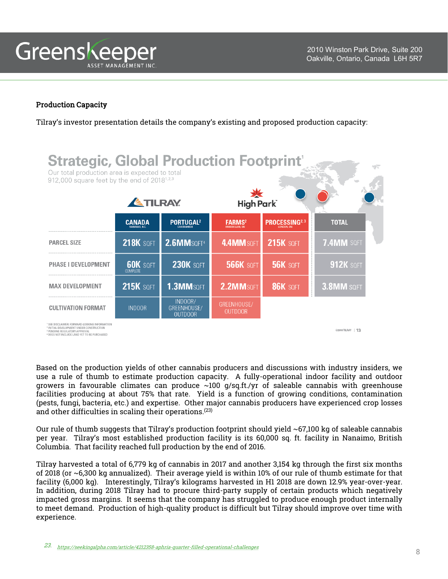

# Production Capacity

Tilray's investor presentation details the company's existing and proposed production capacity:

| <b>Strategic, Global Production Footprint'</b><br>Our total production area is expected to total<br>912,000 square feet by the end of 2018 <sup>1,2,3</sup> |                                    |                                          |                                                    |                      |                   |  |
|-------------------------------------------------------------------------------------------------------------------------------------------------------------|------------------------------------|------------------------------------------|----------------------------------------------------|----------------------|-------------------|--|
|                                                                                                                                                             | <b>ATILRAY</b><br>High Park        |                                          |                                                    |                      |                   |  |
|                                                                                                                                                             | <b>CANADA</b><br>NANAIMO B.C.      | <b>PORTUGAL2</b>                         | <b>FARMS<sup>2</sup></b><br><b>ENNISKILLEN, ON</b> | <b>PROCESSING2,3</b> | <b>TOTAL</b>      |  |
| <b>PARCEL SIZE</b>                                                                                                                                          | <b>218K SQFT</b>                   | 2.6MMSQFT <sup>4</sup>                   | 4.4 MM SQFT                                        | <b>215K SOFT</b>     | 7.4MM SOFT        |  |
| <b>PHASE I DEVELOPMENT</b>                                                                                                                                  | <b>60K</b> SQFT<br><b>COMPLETE</b> | <b>230K SOFT</b>                         | <b>566K SOFT</b>                                   | <b>56K SOFT</b>      | <b>912K SQFT</b>  |  |
| <b>MAX DEVELOPMENT</b>                                                                                                                                      | <b>215K SQFT</b>                   | 1.3MMSQFT                                | 2.2MMSOFT                                          | <b>86K SQFT</b>      | 3.8MM SQFT        |  |
| <b>CULTIVATION FORMAT</b>                                                                                                                                   | <b>INDOOR</b>                      | INDOOR/<br>GREENHOUSE/<br><b>OUTDOOR</b> | GREENHOUSE/<br><b>OUTDOOR</b>                      |                      |                   |  |
| IER: FORWARD-LOOKING INFORMATION<br>EVELOPMENT UNDER CONSTRUCTION<br>PENDING REGULATORY APPROVAL<br><sup>4</sup> DOES NOT INCLUDE LAND YET TO BE PURCHASED  |                                    |                                          |                                                    |                      | C2018 TILRAY   13 |  |

Based on the production yields of other cannabis producers and discussions with industry insiders, we use a rule of thumb to estimate production capacity. A fully-operational indoor facility and outdoor growers in favourable climates can produce  $\sim$ 100 g/sq.ft./yr of saleable cannabis with greenhouse facilities producing at about 75% that rate. Yield is a function of growing conditions, contamination (pests, fungi, bacteria, etc.) and expertise. Other major cannabis producers have experienced crop losses and other difficulties in scaling their operations. (23)

Our rule of thumb suggests that Tilray's production footprint should yield ~67,100 kg of saleable cannabis per year. Tilray's most established production facility is its 60,000 sq. ft. facility in Nanaimo, British Columbia. That facility reached full production by the end of 2016.

Tilray harvested a total of 6,779 kg of cannabis in 2017 and another 3,154 kg through the first six months of 2018 (or ~6,300 kg annualized). Their average yield is within 10% of our rule of thumb estimate for that facility (6,000 kg). Interestingly, Tilray's kilograms harvested in H1 2018 are down 12.9% year-over-year. In addition, during 2018 Tilray had to procure third-party supply of certain products which negatively impacted gross margins. It seems that the company has struggled to produce enough product internally to meet demand. Production of high-quality product is difficult but Tilray should improve over time with experience.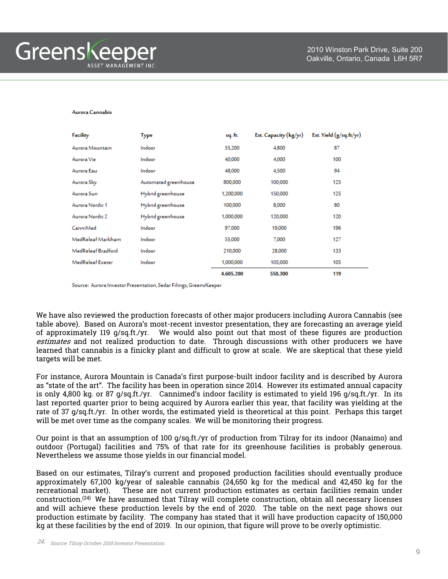#### Aurora Cannabis

| Facility           | Type                 | sq. ft.   | Est. Capacity (kg/yr) | Est. Yield $(g/sq.fr/yr)$ |
|--------------------|----------------------|-----------|-----------------------|---------------------------|
| Aurora Mountain    | Indoor               | 55,200    | 4,800                 | 87                        |
| Aurora Vie         | Indoor               | 40,000    | 4,000                 | 100                       |
| Aurora Eau         | Indoor               | 48,000    | 4,500                 | 94                        |
| Aurora Sky         | Automated greenhouse | 800,000   | 100,000               | 125                       |
| Aurora Sun         | Hybrid greenhouse    | 1,200,000 | 150,000               | 125                       |
| Aurora Nordic 1    | Hybrid greenhouse    | 100,000   | 8,000                 | 80                        |
| Aurora Nordic 2    | Hybrid greenhouse    | 1,000,000 | 120,000               | 120                       |
| CanniMed           | Indoor               | 97,000    | 19,000                | 196                       |
| MedReleaf Markham  | Indoor               | 55,000    | 7,000                 | 127                       |
| MedReleaf Bradford | Indoor               | 210,000   | 28,000                | 133                       |
| MedReleaf Exeter   | Indoor               | 1,000,000 | 105,000               | 105                       |
|                    |                      | 4,605,200 | 550,300               | 119                       |

Source: Aurora Investor Presentation, Sedar Filings, GreensKeeper

We have also reviewed the production forecasts of other major producers including Aurora Cannabis (see table above). Based on Aurora's most-recent investor presentation, they are forecasting an average yield of approximately 119 g/sq.ft./yr. We would also point out that most of these figures are production estimates and not realized production to date. Through discussions with other producers we have learned that cannabis is a finicky plant and difficult to grow at scale. We are skeptical that these yield targets will be met.

For instance, Aurora Mountain is Canada's first purpose-built indoor facility and is described by Aurora as "state of the art". The facility has been in operation since 2014. However its estimated annual capacity is only 4,800 kg. or 87 g/sq.ft./yr. Cannimed's indoor facility is estimated to yield 196 g/sq.ft./yr. In its last reported quarter prior to being acquired by Aurora earlier this year, that facility was yielding at the rate of 37 g/sq.ft./yr. In other words, the estimated yield is theoretical at this point. Perhaps this target will be met over time as the company scales. We will be monitoring their progress.

Our point is that an assumption of 100 g/sq.ft./yr of production from Tilray for its indoor (Nanaimo) and outdoor (Portugal) facilities and 75% of that rate for its greenhouse facilities is probably generous. Nevertheless we assume those yields in our financial model.

Based on our estimates, Tilray's current and proposed production facilities should eventually produce approximately 67,100 kg/year of saleable cannabis (24,650 kg for the medical and 42,450 kg for the recreational market). These are not current production estimates as certain facilities remain under construction. (24) We have assumed that Tilray will complete construction, obtain all necessary licenses and will achieve these production levels by the end of 2020. The table on the next page shows our production estimate by facility. The company has stated that it will have production capacity of 150,000 kg at these facilities by the end of 2019. In our opinion, that figure will prove to be overly optimistic.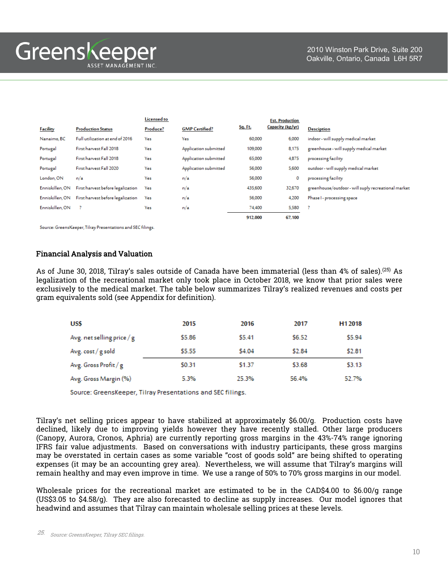Greenskeeper ASSET MANAGEMENT INC

|                 |                                   | Licensed to |                       |                | <b>Est. Production</b> |                                                     |
|-----------------|-----------------------------------|-------------|-----------------------|----------------|------------------------|-----------------------------------------------------|
| <b>Facility</b> | <b>Production Status</b>          | Produce?    | <b>GMP Certified?</b> | <b>Sq. Ft.</b> | Capacity (kg/yr)       | <b>Desciption</b>                                   |
| Nanaimo, BC     | Full utilization at end of 2016   | Yes         | Yes                   | 60,000         | 6,000                  | indoor - will supply medical market                 |
| Portugal        | First harvest Fall 2018           | Yes         | Application submitted | 109,000        | 8,175                  | greenhouse - will supply medical market             |
| Portugal        | First harvest Fall 2018           | Yes         | Application submitted | 65,000         | 4,875                  | processing facility                                 |
| Portugal        | First harvest Fall 2020           | Yes         | Application submitted | 56,000         | 5,600                  | outdoor - will supply medical market                |
| London, ON      | n/a                               | Yes         | n/a                   | 56,000         | 0                      | processing facility                                 |
| Enniskillen, ON | First harvest before legalization | Yes         | n/a                   | 435,600        | 32,670                 | greenhouse/outdoor - will suply recreational market |
| Enniskillen, ON | First harvest before legalization | Yes         | n/a                   | 56,000         | 4,200                  | Phase I - processing space                          |
| Enniskillen, ON |                                   | Yes         | n/a                   | 74,400         | 5,580                  | - ?                                                 |
|                 |                                   |             |                       | 912.000        | 67.100                 |                                                     |

Source: GreensKeeper, Tilray Presentations and SEC filings.

## Financial Analysis and Valuation

As of June 30, 2018, Tilray's sales outside of Canada have been immaterial (less than 4% of sales).<sup>(25)</sup> As legalization of the recreational market only took place in October 2018, we know that prior sales were exclusively to the medical market. The table below summarizes Tilray's realized revenues and costs per gram equivalents sold (see Appendix for definition).

| <b>US\$</b>                | 2015   | 2016   | 2017   | H <sub>1</sub> 2018 |
|----------------------------|--------|--------|--------|---------------------|
| Avg. net selling price / g | \$5.86 | \$5.41 | \$6.52 | \$5.94              |
| Avg. cost / g sold         | \$5.55 | \$4.04 | \$2.84 | \$2.81              |
| Avg. Gross Profit / g      | \$0.31 | \$1.37 | \$3.68 | \$3.13              |
| Avg. Gross Margin (%)      | 5.3%   | 25.3%  | 56.4%  | 52.7%               |

Source: GreensKeeper, Tilray Presentations and SEC filings.

Tilray's net selling prices appear to have stabilized at approximately \$6.00/g. Production costs have declined, likely due to improving yields however they have recently stalled. Other large producers (Canopy, Aurora, Cronos, Aphria) are currently reporting gross margins in the 43%-74% range ignoring IFRS fair value adjustments. Based on conversations with industry participants, these gross margins may be overstated in certain cases as some variable "cost of goods sold" are being shifted to operating expenses (it may be an accounting grey area). Nevertheless, we will assume that Tilray's margins will remain healthy and may even improve in time. We use a range of 50% to 70% gross margins in our model.

Wholesale prices for the recreational market are estimated to be in the CAD\$4.00 to \$6.00/g range (US\$3.05 to \$4.58/g). They are also forecasted to decline as supply increases. Our model ignores that headwind and assumes that Tilray can maintain wholesale selling prices at these levels.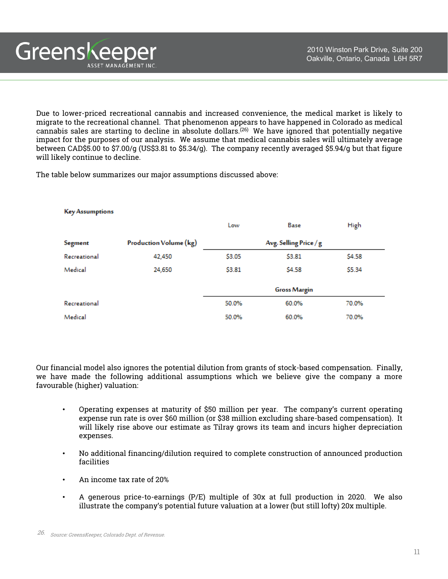Due to lower-priced recreational cannabis and increased convenience, the medical market is likely to migrate to the recreational channel. That phenomenon appears to have happened in Colorado as medical cannabis sales are starting to decline in absolute dollars.<sup>(26)</sup> We have ignored that potentially negative impact for the purposes of our analysis. We assume that medical cannabis sales will ultimately average between CAD\$5.00 to \$7.00/g (US\$3.81 to \$5.34/g). The company recently averaged \$5.94/g but that figure will likely continue to decline.

The table below summarizes our major assumptions discussed above:

Greenskeeper

ASSET MANAGEMENT INC.

| <b>Key Assumptions</b> |                        |        |                        |        |  |
|------------------------|------------------------|--------|------------------------|--------|--|
|                        |                        | Low    | Base                   | High   |  |
| Segment                | Production Volume (kg) |        | Avg. Selling Price / g |        |  |
| Recreational           | 42,450                 | \$3.05 | \$3.81                 | \$4.58 |  |
| Medical                | 24,650                 | \$3.81 | <b>S4.58</b>           | \$5.34 |  |
|                        |                        |        | <b>Gross Margin</b>    |        |  |
| Recreational           |                        | 50.0%  | 60.0%                  | 70.0%  |  |
| Medical                |                        | 50.0%  | 60.0%                  | 70.0%  |  |

Our financial model also ignores the potential dilution from grants of stock-based compensation. Finally, we have made the following additional assumptions which we believe give the company a more favourable (higher) valuation:

- Operating expenses at maturity of \$50 million per year. The company's current operating expense run rate is over \$60 million (or \$38 million excluding share-based compensation). It will likely rise above our estimate as Tilray grows its team and incurs higher depreciation expenses.
- No additional financing/dilution required to complete construction of announced production facilities
- An income tax rate of 20%
- A generous price-to-earnings (P/E) multiple of 30x at full production in 2020. We also illustrate the company's potential future valuation at a lower (but still lofty) 20x multiple.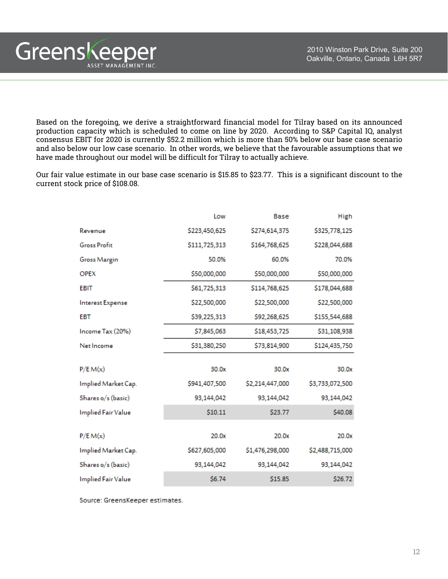Based on the foregoing, we derive a straightforward financial model for Tilray based on its announced production capacity which is scheduled to come on line by 2020. According to S&P Capital IQ, analyst consensus EBIT for 2020 is currently \$52.2 million which is more than 50% below our base case scenario and also below our low case scenario. In other words, we believe that the favourable assumptions that we have made throughout our model will be difficult for Tilray to actually achieve.

Our fair value estimate in our base case scenario is \$15.85 to \$23.77. This is a significant discount to the current stock price of \$108.08.

|                           | Low           | Base            | High            |
|---------------------------|---------------|-----------------|-----------------|
| Revenue                   | \$223,450,625 | \$274,614,375   | \$325,778,125   |
| <b>Gross Profit</b>       | \$111,725,313 | \$164,768,625   | \$228,044,688   |
| <b>Gross Margin</b>       | 50.0%         | 60.0%           | 70.0%           |
| <b>OPEX</b>               | \$50,000,000  | \$50,000,000    | \$50,000,000    |
| <b>EBIT</b>               | \$61,725,313  | \$114,768,625   | \$178,044,688   |
| Interest Expense          | \$22,500,000  | \$22,500,000    | \$22,500,000    |
| <b>EBT</b>                | \$39,225,313  | \$92,268,625    | \$155,544,688   |
| Income Tax (20%)          | \$7,845,063   | \$18,453,725    | \$31,108,938    |
| Net Income                | \$31,380,250  | \$73,814,900    | \$124,435,750   |
|                           |               |                 |                 |
| P/E M(x)                  | 30.0x         | 30.0x           | 30.0x           |
| Implied Market Cap.       | \$941,407,500 | \$2,214,447,000 | \$3,733,072,500 |
| Shares o/s (basic)        | 93,144,042    | 93,144,042      | 93,144,042      |
| <b>Implied Fair Value</b> | \$10.11       | \$23.77         | \$40.08         |
|                           |               |                 |                 |
| P/E M(x)                  | 20.0x         | 20.0x           | 20.0x           |
| Implied Market Cap.       | \$627,605,000 | \$1,476,298,000 | \$2,488,715,000 |
| Shares o/s (basic)        | 93,144,042    | 93,144,042      | 93,144,042      |
| <b>Implied Fair Value</b> | \$6.74        | \$15.85         | \$26.72         |

Source: GreensKeeper estimates.

Greenskeeper

ASSET MANAGEMENT INC.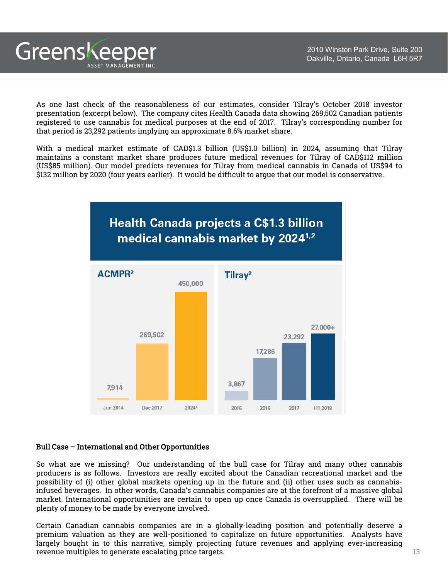As one last check of the reasonableness of our estimates, consider Tilray's October 2018 investor presentation (excerpt below). The company cites Health Canada data showing 269,502 Canadian patients registered to use cannabis for medical purposes at the end of 2017. Tilray's corresponding number for that period is 23,292 patients implying an approximate 8.6% market share.

With a medical market estimate of CAD\$1.3 billion (US\$1.0 billion) in 2024, assuming that Tilray maintains a constant market share produces future medical revenues for Tilray of CAD\$112 million (US\$85 million). Our model predicts revenues for Tilray from medical cannabis in Canada of US\$94 to \$132 million by 2020 (four years earlier). It would be difficult to argue that our model is conservative.



## Bull Case – International and Other Opportunities

Greenskeeper

ASSET MANAGEMENT INC

So what are we missing? Our understanding of the bull case for Tilray and many other cannabis producers is as follows. Investors are really excited about the Canadian recreational market and the possibility of (i) other global markets opening up in the future and (ii) other uses such as cannabisinfused beverages. In other words, Canada's cannabis companies are at the forefront of a massive global market. International opportunities are certain to open up once Canada is oversupplied. There will be plenty of money to be made by everyone involved.

Certain Canadian cannabis companies are in a globally-leading position and potentially deserve a premium valuation as they are well-positioned to capitalize on future opportunities. Analysts have largely bought in to this narrative, simply projecting future revenues and applying ever-increasing revenue multiples to generate escalating price targets. The contract of the contract of  $13$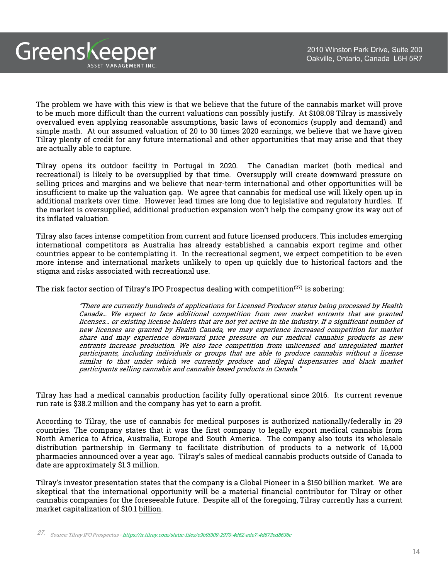The problem we have with this view is that we believe that the future of the cannabis market will prove to be much more difficult than the current valuations can possibly justify. At \$108.08 Tilray is massively overvalued even applying reasonable assumptions, basic laws of economics (supply and demand) and simple math. At our assumed valuation of 20 to 30 times 2020 earnings, we believe that we have given Tilray plenty of credit for any future international and other opportunities that may arise and that they are actually able to capture.

Greenskeeper

ASSET MANAGEMENT INC.

Tilray opens its outdoor facility in Portugal in 2020. The Canadian market (both medical and recreational) is likely to be oversupplied by that time. Oversupply will create downward pressure on selling prices and margins and we believe that near-term international and other opportunities will be insufficient to make up the valuation gap. We agree that cannabis for medical use will likely open up in additional markets over time. However lead times are long due to legislative and regulatory hurdles. If the market is oversupplied, additional production expansion won't help the company grow its way out of its inflated valuation.

Tilray also faces intense competition from current and future licensed producers. This includes emerging international competitors as Australia has already established a cannabis export regime and other countries appear to be contemplating it. In the recreational segment, we expect competition to be even more intense and international markets unlikely to open up quickly due to historical factors and the stigma and risks associated with recreational use.

The risk factor section of Tilray's IPO Prospectus dealing with competition<sup> $(27)$ </sup> is sobering:

"There are currently hundreds of applications for Licensed Producer status being processed by Health Canada… We expect to face additional competition from new market entrants that are granted licenses… or existing license holders that are not yet active in the industry. If <sup>a</sup> significant number of new licenses are granted by Health Canada, we may experience increased competition for market share and may experience downward price pressure on our medical cannabis products as new entrants increase production. We also face competition from unlicensed and unregulated market participants, including individuals or groups that are able to produce cannabis without <sup>a</sup> license similar to that under which we currently produce and illegal dispensaries and black market participants selling cannabis and cannabis based products in Canada."

Tilray has had a medical cannabis production facility fully operational since 2016. Its current revenue run rate is \$38.2 million and the company has yet to earn a profit.

According to Tilray, the use of cannabis for medical purposes is authorized nationally/federally in 29 countries. The company states that it was the first company to legally export medical cannabis from North America to Africa, Australia, Europe and South America. The company also touts its wholesale distribution partnership in Germany to facilitate distribution of products to a network of 16,000 pharmacies announced over a year ago. Tilray's sales of medical cannabis products outside of Canada to date are approximately \$1.3 million.

Tilray's investor presentation states that the company is a Global Pioneer in a \$150 billion market. We are skeptical that the international opportunity will be a material financial contributor for Tilray or other cannabis companies for the foreseeable future. Despite all of the foregoing, Tilray currently has a current market capitalization of \$10.1 billion.

27. Source: Tilray IPO Prospectus - <https://ir.tilray.com/static-files/e9b9f309-2970-4d62-ade7-4d873ed8636c>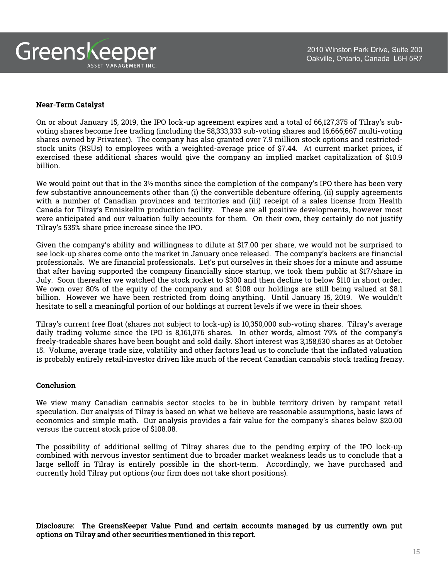

# Near-Term Catalyst

On or about January 15, 2019, the IPO lock-up agreement expires and a total of 66,127,375 of Tilray's subvoting shares become free trading (including the 58,333,333 sub-voting shares and 16,666,667 multi-voting shares owned by Privateer). The company has also granted over 7.9 million stock options and restrictedstock units (RSUs) to employees with a weighted-average price of \$7.44. At current market prices, if exercised these additional shares would give the company an implied market capitalization of \$10.9 billion.

We would point out that in the 3½ months since the completion of the company's IPO there has been very few substantive announcements other than (i) the convertible debenture offering, (ii) supply agreements with a number of Canadian provinces and territories and (iii) receipt of a sales license from Health Canada for Tilray's Enniskellin production facility. These are all positive developments, however most were anticipated and our valuation fully accounts for them. On their own, they certainly do not justify Tilray's 535% share price increase since the IPO.

Given the company's ability and willingness to dilute at \$17.00 per share, we would not be surprised to see lock-up shares come onto the market in January once released. The company's backers are financial professionals. We are financial professionals. Let's put ourselves in their shoes for a minute and assume that after having supported the company financially since startup, we took them public at \$17/share in July. Soon thereafter we watched the stock rocket to \$300 and then decline to below \$110 in short order. We own over 80% of the equity of the company and at \$108 our holdings are still being valued at \$8.1 billion. However we have been restricted from doing anything. Until January 15, 2019. We wouldn't hesitate to sell a meaningful portion of our holdings at current levels if we were in their shoes.

Tilray's current free float (shares not subject to lock-up) is 10,350,000 sub-voting shares. Tilray's average daily trading volume since the IPO is 8,161,076 shares. In other words, almost 79% of the company's freely-tradeable shares have been bought and sold daily. Short interest was 3,158,530 shares as at October 15. Volume, average trade size, volatility and other factors lead us to conclude that the inflated valuation is probably entirely retail-investor driven like much of the recent Canadian cannabis stock trading frenzy.

# Conclusion

We view many Canadian cannabis sector stocks to be in bubble territory driven by rampant retail speculation. Our analysis of Tilray is based on what we believe are reasonable assumptions, basic laws of economics and simple math. Our analysis provides a fair value for the company's shares below \$20.00 versus the current stock price of \$108.08.

The possibility of additional selling of Tilray shares due to the pending expiry of the IPO lock-up combined with nervous investor sentiment due to broader market weakness leads us to conclude that a large selloff in Tilray is entirely possible in the short-term. Accordingly, we have purchased and currently hold Tilray put options (our firm does not take short positions).

Disclosure: The GreensKeeper Value Fund and certain accounts managed by us currently own put options on Tilray and other securities mentioned in this report.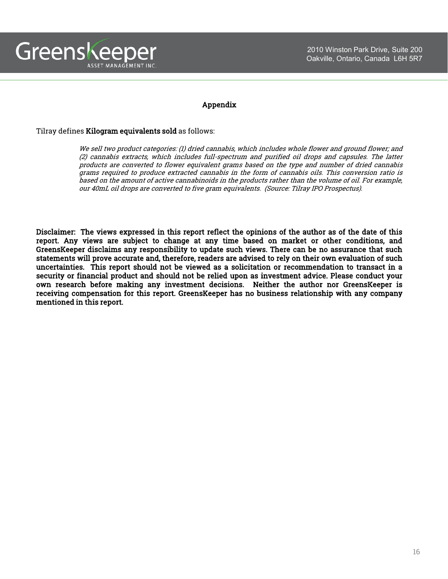

## Appendix

### Tilray defines Kilogram equivalents sold as follows:

We sell two product categories: (1) dried cannabis, which includes whole flower and ground flower; and (2) cannabis extracts, which includes full-spectrum and purified oil drops and capsules. The latter products are converted to flower equivalent grams based on the type and number of dried cannabis grams required to produce extracted cannabis in the form of cannabis oils. This conversion ratio is based on the amount of active cannabinoids in the products rather than the volume of oil. For example, our 40mL oil drops are converted to five gram equivalents. (Source: Tilray IPO Prospectus).

Disclaimer: The views expressed in this report reflect the opinions of the author as of the date of this report. Any views are subject to change at any time based on market or other conditions, and GreensKeeper disclaims any responsibility to update such views. There can be no assurance that such statements will prove accurate and, therefore, readers are advised to rely on their own evaluation of such uncertainties. This report should not be viewed as a solicitation or recommendation to transact in a security or financial product and should not be relied upon as investment advice. Please conduct your own research before making any investment decisions. Neither the author nor GreensKeeper is receiving compensation for this report. GreensKeeper has no business relationship with any company mentioned in this report.